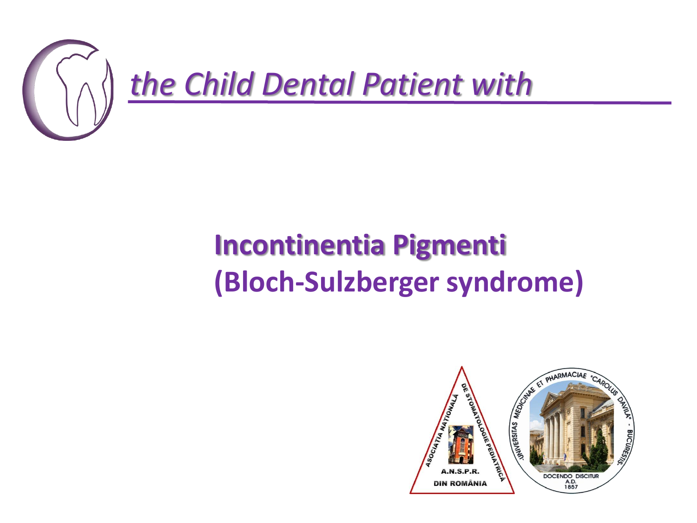

# **Incontinentia Pigmenti (Bloch-Sulzberger syndrome)**

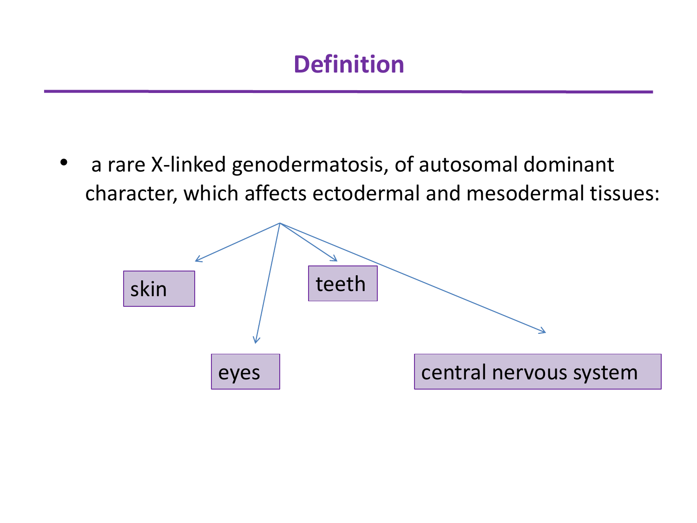a rare X-linked genodermatosis, of autosomal dominant character, which affects ectodermal and mesodermal tissues:

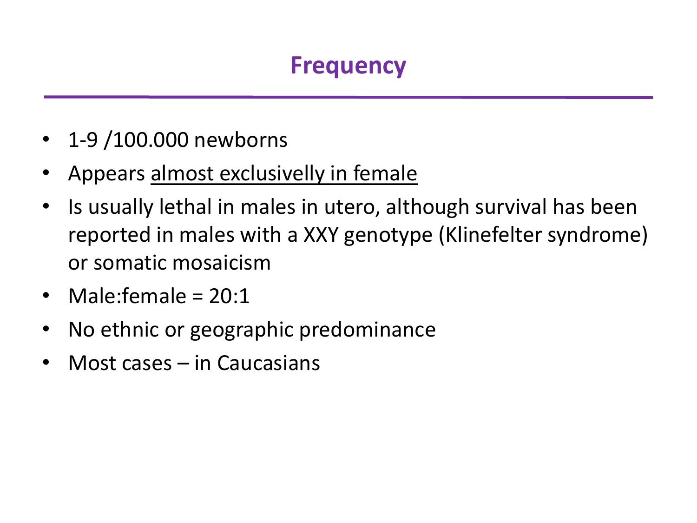- 1-9/100.000 newborns
- Appears almost exclusivelly in female
- Is usually lethal in males in utero, although survival has been reported in males with a XXY genotype (Klinefelter syndrome) or somatic mosaicism
- Male:female = 20:1
- No ethnic or geographic predominance
- Most cases in Caucasians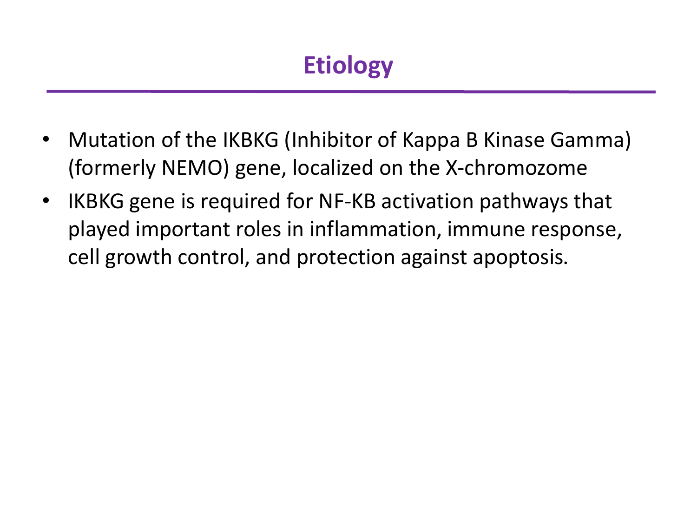- Mutation of the IKBKG (Inhibitor of Kappa B Kinase Gamma) (formerly NEMO) gene, localized on the X-chromozome
- IKBKG gene is required for NF-KB activation pathways that played important roles in inflammation, immune response, cell growth control, and protection against apoptosis.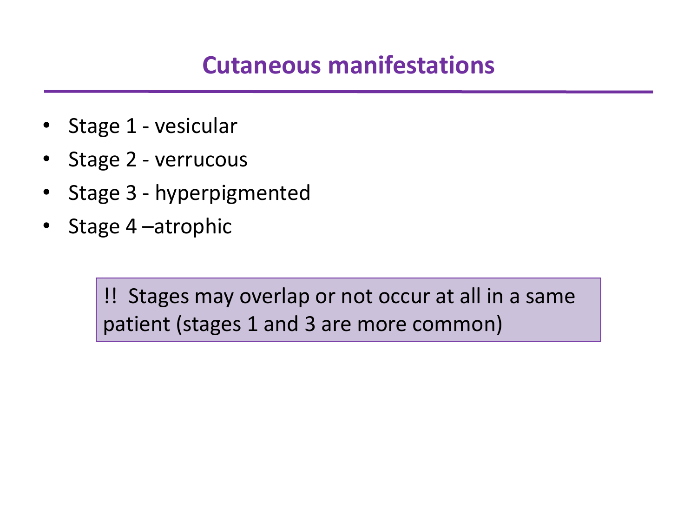- Stage 1 vesicular
- Stage 2 verrucous
- Stage 3 hyperpigmented
- Stage 4 –atrophic

!! Stages may overlap or not occur at all in a same patient (stages 1 and 3 are more common)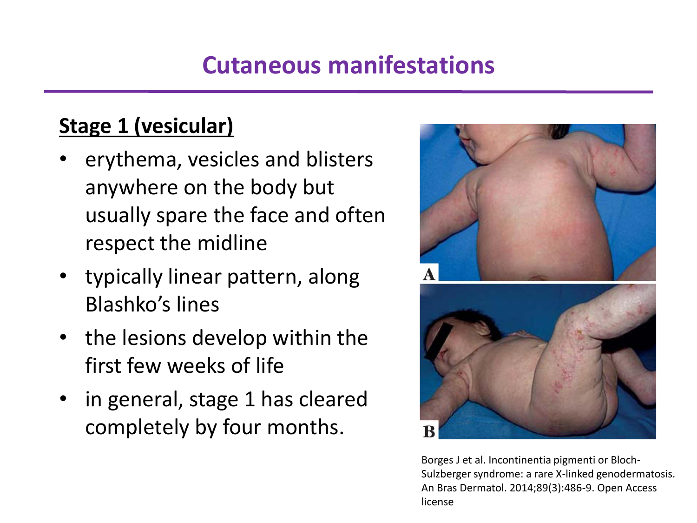#### **Stage 1 (vesicular)**

- erythema, vesicles and blisters anywhere on the body but usually spare the face and often respect the midline
- typically linear pattern, along Blashko's lines
- the lesions develop within the first few weeks of life
- in general, stage 1 has cleared completely by four months.



Borges J et al. Incontinentia pigmenti or Bloch-Sulzberger syndrome: a rare X-linked genodermatosis. An Bras Dermatol. 2014;89(3):486-9. Open Access license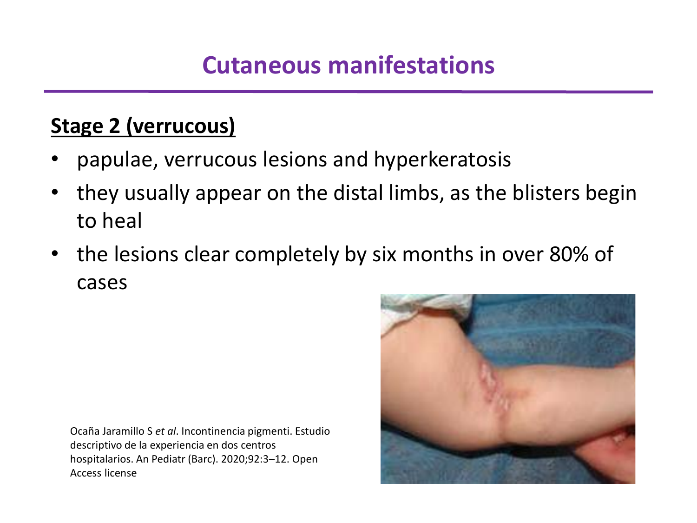#### **Stage 2 (verrucous)**

- papulae, verrucous lesions and hyperkeratosis
- they usually appear on the distal limbs, as the blisters begin to heal
- the lesions clear completely by six months in over 80% of cases

Ocaña Jaramillo S *et al*. Incontinencia pigmenti. Estudio descriptivo de la experiencia en dos centros hospitalarios. An Pediatr (Barc). 2020;92:3–12. Open Access license

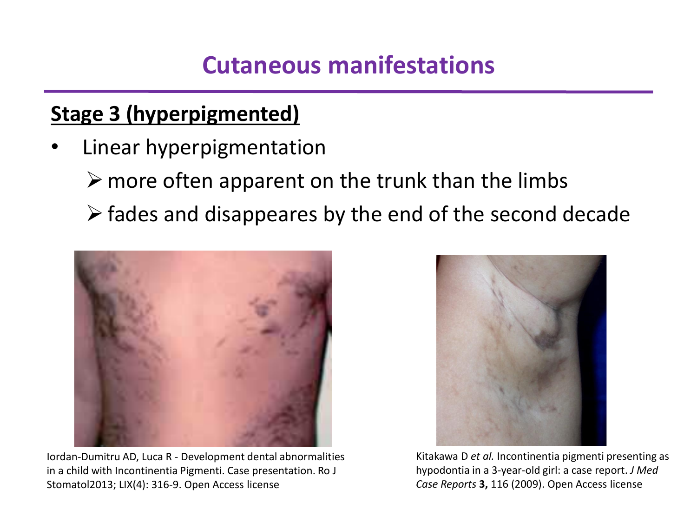#### **Stage 3 (hyperpigmented)**

- Linear hyperpigmentation
	- $\triangleright$  more often apparent on the trunk than the limbs
	- $\triangleright$  fades and disappeares by the end of the second decade



Iordan-Dumitru AD, Luca R - Development dental abnormalities in a child with Incontinentia Pigmenti. Case presentation. Ro J Stomatol2013; LIX(4): 316-9. Open Access license



Kitakawa D *et al.* Incontinentia pigmenti presenting as hypodontia in a 3-year-old girl: a case report. *J Med Case Reports* **3,** 116 (2009). Open Access license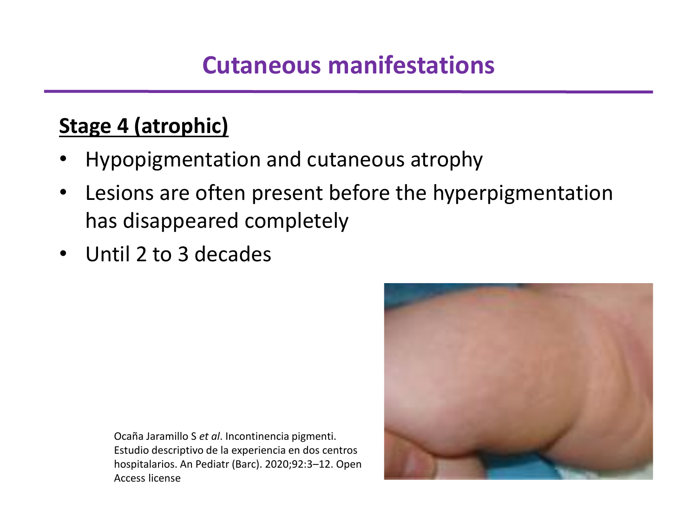#### **Stage 4 (atrophic)**

- Hypopigmentation and cutaneous atrophy
- Lesions are often present before the hyperpigmentation has disappeared completely
- Until 2 to 3 decades

Ocaña Jaramillo S *et al*. Incontinencia pigmenti. Estudio descriptivo de la experiencia en dos centros hospitalarios. An Pediatr (Barc). 2020;92:3–12. Open Access license

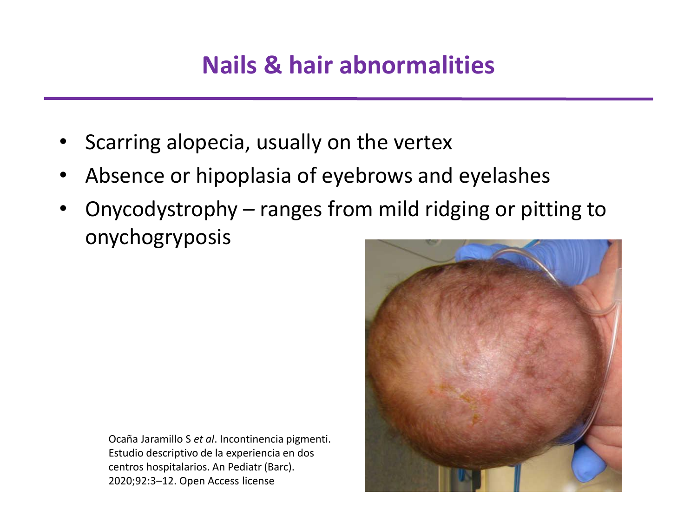# **Nails & hair abnormalities**

- Scarring alopecia, usually on the vertex
- Absence or hipoplasia of eyebrows and eyelashes
- Onycodystrophy ranges from mild ridging or pitting to onychogryposis

Ocaña Jaramillo S *et al*. Incontinencia pigmenti. Estudio descriptivo de la experiencia en dos centros hospitalarios. An Pediatr (Barc). 2020;92:3–12. Open Access license

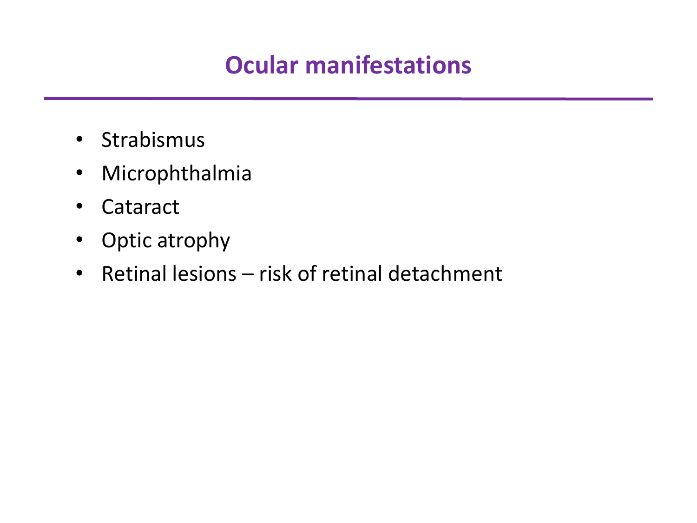# **Ocular manifestations**

- Strabismus
- Microphthalmia
- Cataract
- Optic atrophy
- Retinal lesions risk of retinal detachment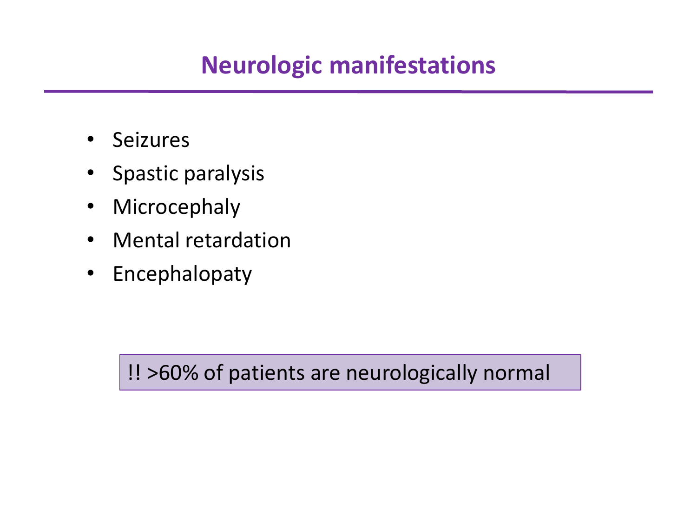# **Neurologic manifestations**

- Seizures
- Spastic paralysis
- Microcephaly
- Mental retardation
- Encephalopaty

!! >60% of patients are neurologically normal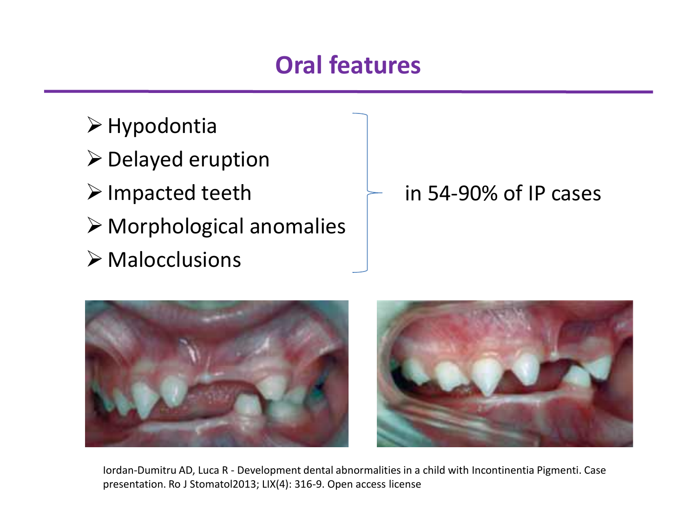# **Oral features**

➢Hypodontia ➢Delayed eruption  $\triangleright$  Impacted teeth ➢ Morphological anomalies ➢ Malocclusions

#### in 54-90% of IP cases





Iordan-Dumitru AD, Luca R - Development dental abnormalities in a child with Incontinentia Pigmenti. Case presentation. Ro J Stomatol2013; LIX(4): 316-9. Open access license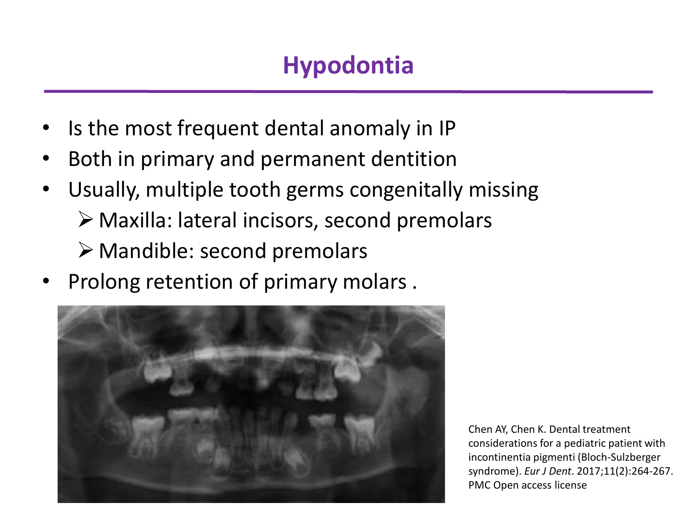# **Hypodontia**

- Is the most frequent dental anomaly in IP
- Both in primary and permanent dentition
- Usually, multiple tooth germs congenitally missing ➢ Maxilla: lateral incisors, second premolars ➢ Mandible: second premolars
- Prolong retention of primary molars .



Chen AY, Chen K. Dental treatment considerations for a pediatric patient with incontinentia pigmenti (Bloch-Sulzberger syndrome). *Eur J Dent*. 2017;11(2):264‐267. PMC Open access license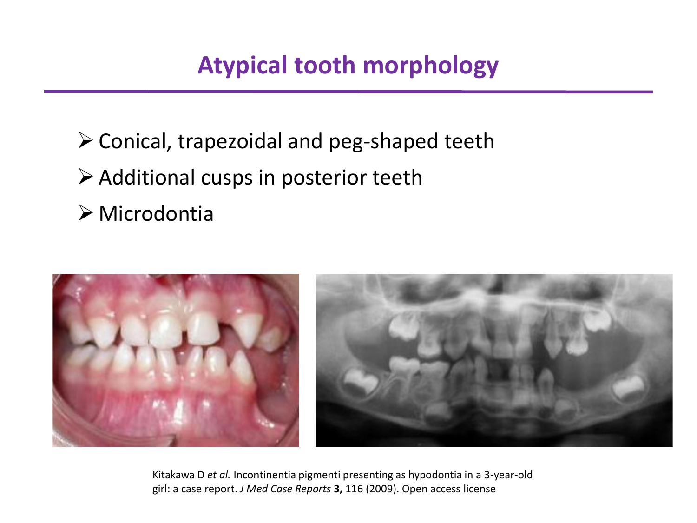- ➢Conical, trapezoidal and peg-shaped teeth
- ➢Additional cusps in posterior teeth
- ➢ Microdontia



Kitakawa D *et al.* Incontinentia pigmenti presenting as hypodontia in a 3-year-old girl: a case report. *J Med Case Reports* **3,** 116 (2009). Open access license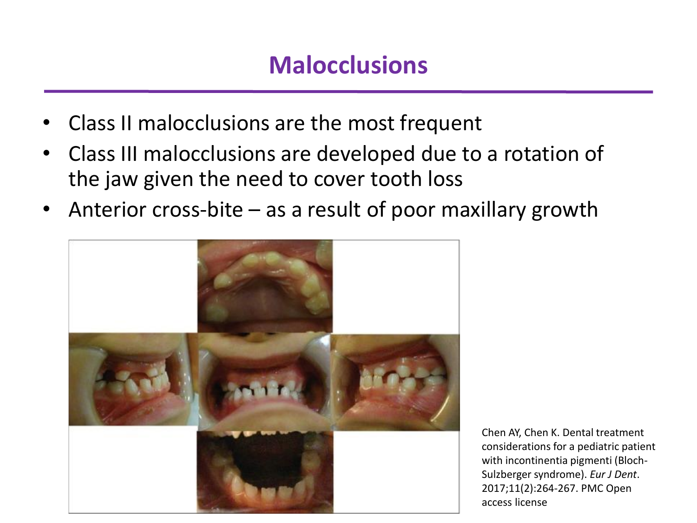### **Malocclusions**

- Class II malocclusions are the most frequent
- Class III malocclusions are developed due to a rotation of the jaw given the need to cover tooth loss
- Anterior cross-bite  $-$  as a result of poor maxillary growth



Chen AY, Chen K. Dental treatment considerations for a pediatric patient with incontinentia pigmenti (Bloch-Sulzberger syndrome). *Eur J Dent*. 2017;11(2):264‐267. PMC Open access license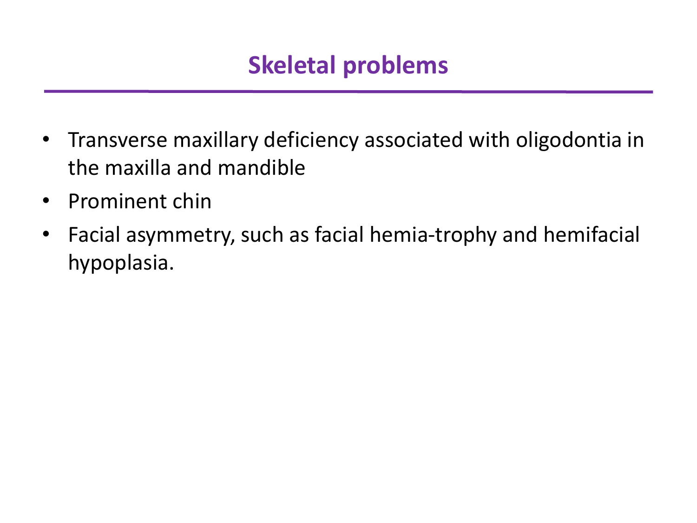- Transverse maxillary deficiency associated with oligodontia in the maxilla and mandible
- Prominent chin
- Facial asymmetry, such as facial hemia-trophy and hemifacial hypoplasia.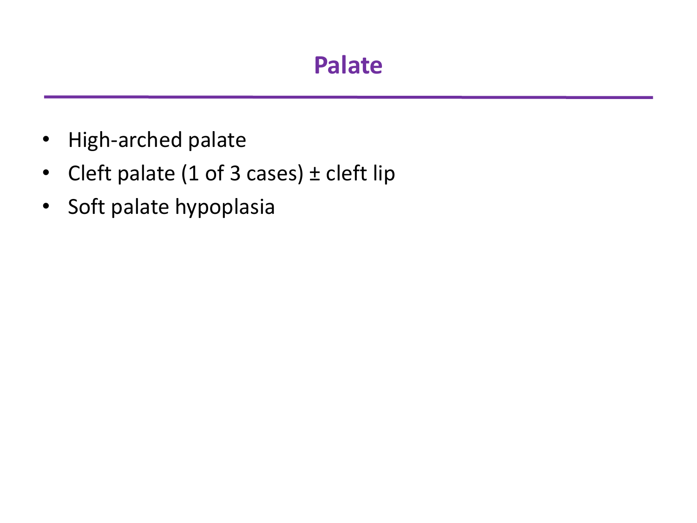# **Palate**

- High-arched palate
- Cleft palate (1 of 3 cases) ± cleft lip
- Soft palate hypoplasia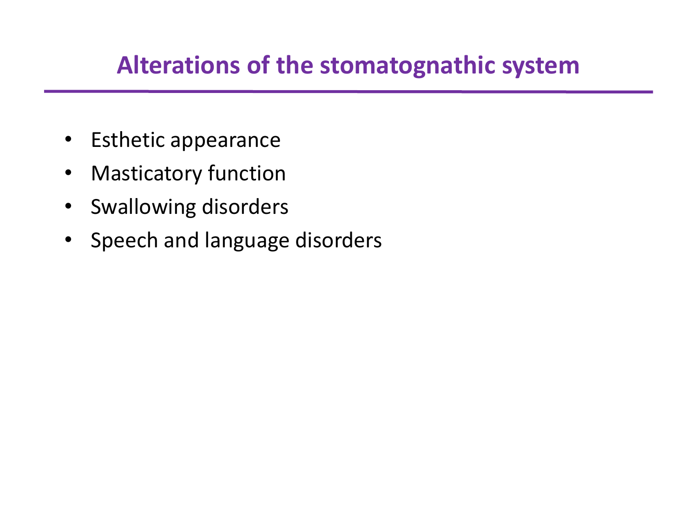### **Alterations of the stomatognathic system**

- Esthetic appearance
- Masticatory function
- Swallowing disorders
- Speech and language disorders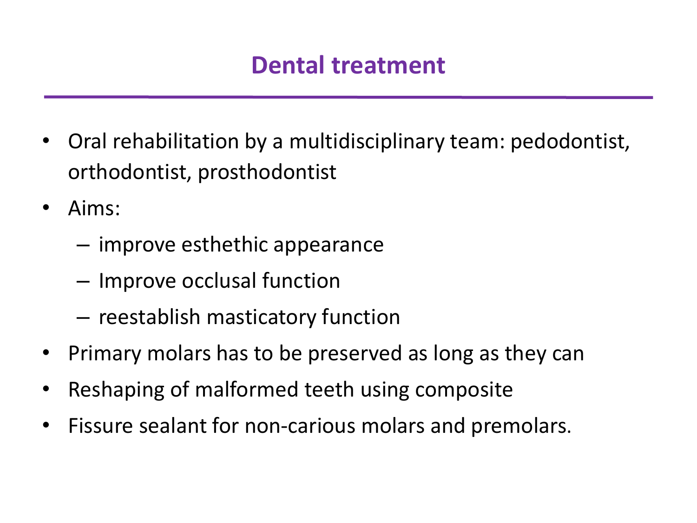### **Dental treatment**

- Oral rehabilitation by a multidisciplinary team: pedodontist, orthodontist, prosthodontist
- Aims:
	- improve esthethic appearance
	- Improve occlusal function
	- reestablish masticatory function
- Primary molars has to be preserved as long as they can
- Reshaping of malformed teeth using composite
- Fissure sealant for non-carious molars and premolars.